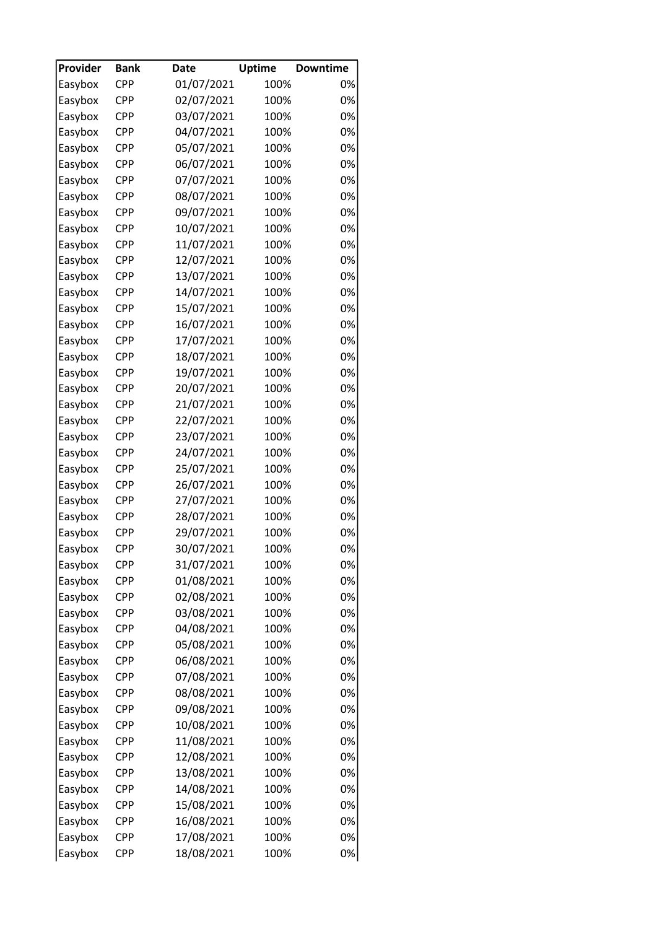| Provider | <b>Bank</b>       | <b>Date</b> | <b>Uptime</b> | <b>Downtime</b> |
|----------|-------------------|-------------|---------------|-----------------|
| Easybox  | <b>CPP</b>        | 01/07/2021  | 100%          | 0%              |
| Easybox  | <b>CPP</b>        | 02/07/2021  | 100%          | 0%              |
| Easybox  | <b>CPP</b>        | 03/07/2021  | 100%          | 0%              |
| Easybox  | <b>CPP</b>        | 04/07/2021  | 100%          | 0%              |
| Easybox  | <b>CPP</b>        | 05/07/2021  | 100%          | 0%              |
| Easybox  | <b>CPP</b>        | 06/07/2021  | 100%          | 0%              |
| Easybox  | <b>CPP</b>        | 07/07/2021  | 100%          | 0%              |
| Easybox  | <b>CPP</b>        | 08/07/2021  | 100%          | 0%              |
| Easybox  | <b>CPP</b>        | 09/07/2021  | 100%          | 0%              |
| Easybox  | <b>CPP</b>        | 10/07/2021  | 100%          | 0%              |
| Easybox  | <b>CPP</b>        | 11/07/2021  | 100%          | 0%              |
| Easybox  | <b>CPP</b>        | 12/07/2021  | 100%          | 0%              |
| Easybox  | <b>CPP</b>        | 13/07/2021  | 100%          | 0%              |
| Easybox  | <b>CPP</b>        | 14/07/2021  | 100%          | 0%              |
| Easybox  | <b>CPP</b>        | 15/07/2021  | 100%          | 0%              |
| Easybox  | <b>CPP</b>        | 16/07/2021  | 100%          | 0%              |
| Easybox  | CPP               | 17/07/2021  | 100%          | 0%              |
| Easybox  | <b>CPP</b>        | 18/07/2021  | 100%          | 0%              |
| Easybox  | <b>CPP</b>        | 19/07/2021  | 100%          | 0%              |
| Easybox  | <b>CPP</b>        | 20/07/2021  | 100%          | 0%              |
| Easybox  | <b>CPP</b>        | 21/07/2021  | 100%          | 0%              |
| Easybox  | <b>CPP</b>        | 22/07/2021  | 100%          | 0%              |
| Easybox  | <b>CPP</b>        | 23/07/2021  | 100%          | 0%              |
| Easybox  | <b>CPP</b>        | 24/07/2021  | 100%          | 0%              |
|          | <b>CPP</b>        | 25/07/2021  | 100%          | 0%              |
| Easybox  |                   |             |               | 0%              |
| Easybox  | CPP<br><b>CPP</b> | 26/07/2021  | 100%          | 0%              |
| Easybox  |                   | 27/07/2021  | 100%          |                 |
| Easybox  | <b>CPP</b>        | 28/07/2021  | 100%          | 0%              |
| Easybox  | <b>CPP</b>        | 29/07/2021  | 100%          | 0%              |
| Easybox  | <b>CPP</b>        | 30/07/2021  | 100%          | 0%              |
| Easybox  | <b>CPP</b>        | 31/07/2021  | 100%          | 0%              |
| Easybox  | CPP               | 01/08/2021  | 100%          | 0%              |
| Easybox  | CPP               | 02/08/2021  | 100%          | 0%              |
| Easybox  | <b>CPP</b>        | 03/08/2021  | 100%          | 0%              |
| Easybox  | CPP               | 04/08/2021  | 100%          | 0%              |
| Easybox  | <b>CPP</b>        | 05/08/2021  | 100%          | 0%              |
| Easybox  | <b>CPP</b>        | 06/08/2021  | 100%          | 0%              |
| Easybox  | CPP               | 07/08/2021  | 100%          | 0%              |
| Easybox  | CPP               | 08/08/2021  | 100%          | 0%              |
| Easybox  | CPP               | 09/08/2021  | 100%          | 0%              |
| Easybox  | <b>CPP</b>        | 10/08/2021  | 100%          | 0%              |
| Easybox  | CPP               | 11/08/2021  | 100%          | 0%              |
| Easybox  | <b>CPP</b>        | 12/08/2021  | 100%          | 0%              |
| Easybox  | <b>CPP</b>        | 13/08/2021  | 100%          | 0%              |
| Easybox  | <b>CPP</b>        | 14/08/2021  | 100%          | 0%              |
| Easybox  | CPP               | 15/08/2021  | 100%          | 0%              |
| Easybox  | <b>CPP</b>        | 16/08/2021  | 100%          | 0%              |
| Easybox  | CPP               | 17/08/2021  | 100%          | 0%              |
| Easybox  | <b>CPP</b>        | 18/08/2021  | 100%          | 0%              |